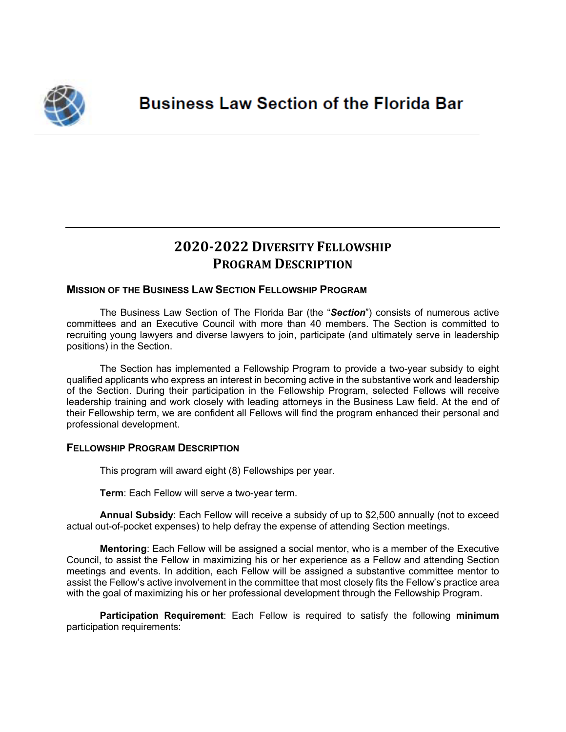

# **2020-2022 DIVERSITY FELLOWSHIP PROGRAM DESCRIPTION**

## **MISSION OF THE BUSINESS LAW SECTION FELLOWSHIP PROGRAM**

The Business Law Section of The Florida Bar (the "*Section*") consists of numerous active committees and an Executive Council with more than 40 members. The Section is committed to recruiting young lawyers and diverse lawyers to join, participate (and ultimately serve in leadership positions) in the Section.

The Section has implemented a Fellowship Program to provide a two-year subsidy to eight qualified applicants who express an interest in becoming active in the substantive work and leadership of the Section. During their participation in the Fellowship Program, selected Fellows will receive leadership training and work closely with leading attorneys in the Business Law field. At the end of their Fellowship term, we are confident all Fellows will find the program enhanced their personal and professional development.

### **FELLOWSHIP PROGRAM DESCRIPTION**

This program will award eight (8) Fellowships per year.

**Term**: Each Fellow will serve a two-year term.

**Annual Subsidy**: Each Fellow will receive a subsidy of up to \$2,500 annually (not to exceed actual out-of-pocket expenses) to help defray the expense of attending Section meetings.

**Mentoring**: Each Fellow will be assigned a social mentor, who is a member of the Executive Council, to assist the Fellow in maximizing his or her experience as a Fellow and attending Section meetings and events. In addition, each Fellow will be assigned a substantive committee mentor to assist the Fellow's active involvement in the committee that most closely fits the Fellow's practice area with the goal of maximizing his or her professional development through the Fellowship Program.

**Participation Requirement**: Each Fellow is required to satisfy the following **minimum** participation requirements: